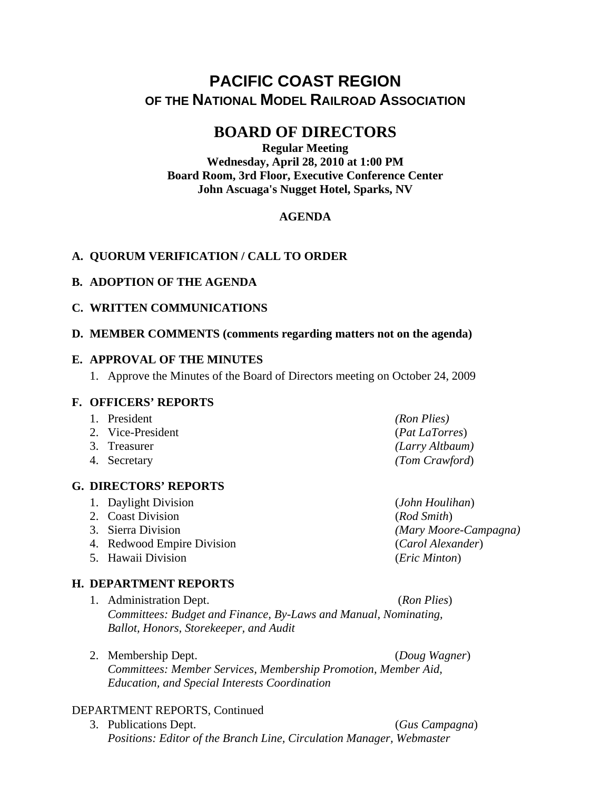# **PACIFIC COAST REGION OF THE NATIONAL MODEL RAILROAD ASSOCIATION**

## **BOARD OF DIRECTORS**

**Regular Meeting Wednesday, April 28, 2010 at 1:00 PM Board Room, 3rd Floor, Executive Conference Center John Ascuaga's Nugget Hotel, Sparks, NV** 

## **AGENDA**

## **A. QUORUM VERIFICATION / CALL TO ORDER**

#### **B. ADOPTION OF THE AGENDA**

#### **C. WRITTEN COMMUNICATIONS**

#### **D. MEMBER COMMENTS (comments regarding matters not on the agenda)**

#### **E. APPROVAL OF THE MINUTES**

1. Approve the Minutes of the Board of Directors meeting on October 24, 2009

#### **F. OFFICERS' REPORTS**

| 1. President      | (Ron Plies)     |
|-------------------|-----------------|
| 2. Vice-President | (Pat LaTorres)  |
| 3. Treasurer      | (Larry Altbaum) |
| 4. Secretary      | (Tom Crawford)  |

## **G. DIRECTORS' REPORTS**

- 1. Daylight Division (*John Houlihan*)
- 2. Coast Division (*Rod Smith*)
- 
- 4. Redwood Empire Division (*Carol Alexander*)
- 5. Hawaii Division (*Eric Minton*)

## **H. DEPARTMENT REPORTS**

- 1. Administration Dept. (*Ron Plies*) *Committees: Budget and Finance, By-Laws and Manual, Nominating, Ballot, Honors, Storekeeper, and Audit*
- 2. Membership Dept. (*Doug Wagner*) *Committees: Member Services, Membership Promotion, Member Aid, Education, and Special Interests Coordination*

## DEPARTMENT REPORTS, Continued

3. Publications Dept. (*Gus Campagna*) *Positions: Editor of the Branch Line, Circulation Manager, Webmaster* 

3. Sierra Division *(Mary Moore-Campagna)*